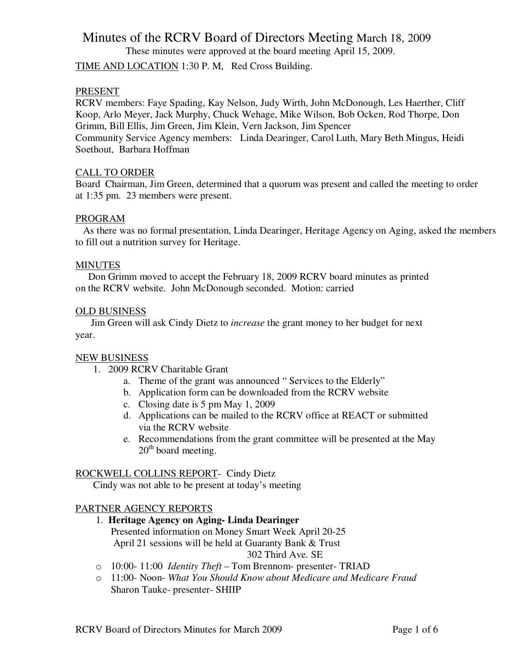These minutes were approved at the board meeting April 15, 2009.

TIME AND LOCATION 1:30 P. M, Red Cross Building.

## PRESENT

RCRV members: Faye Spading, Kay Nelson, Judy Wirth, John McDonough, Les Haerther, Cliff Koop, Arlo Meyer, Jack Murphy, Chuck Wehage, Mike Wilson, Bob Ocken, Rod Thorpe, Don Grimm, Bill Ellis, Jim Green, Jim Klein, Vern Jackson, Jim Spencer Community Service Agency members: Linda Dearinger, Carol Luth, Mary Beth Mingus, Heidi

Soethout, Barbara Hoffman

### CALL TO ORDER

Board Chairman, Jim Green, determined that a quorum was present and called the meeting to order at 1:35 pm. 23 members were present.

### PROGRAM

 As there was no formal presentation, Linda Dearinger, Heritage Agency on Aging, asked the members to fill out a nutrition survey for Heritage.

## **MINUTES**

 Don Grimm moved to accept the February 18, 2009 RCRV board minutes as printed on the RCRV website. John McDonough seconded. Motion: carried

## OLD BUSINESS

 Jim Green will ask Cindy Dietz to *increase* the grant money to her budget for next year.

### NEW BUSINESS

- 1. 2009 RCRV Charitable Grant
	- a. Theme of the grant was announced " Services to the Elderly"
	- b. Application form can be downloaded from the RCRV website
	- c. Closing date is 5 pm May 1, 2009
	- d. Applications can be mailed to the RCRV office at REACT or submitted via the RCRV website
	- e. Recommendations from the grant committee will be presented at the May 20<sup>th</sup> board meeting.

# ROCKWELL COLLINS REPORT- Cindy Dietz

Cindy was not able to be present at today's meeting

# PARTNER AGENCY REPORTS

- 1. **Heritage Agency on Aging- Linda Dearinger** Presented information on Money Smart Week April 20-25 April 21 sessions will be held at Guaranty Bank & Trust 302 Third Ave. SE
- o 10:00- 11:00 *Identity Theft* Tom Brennom- presenter- TRIAD
- o 11:00- Noon- *What You Should Know about Medicare and Medicare Fraud* Sharon Tauke- presenter- SHIIP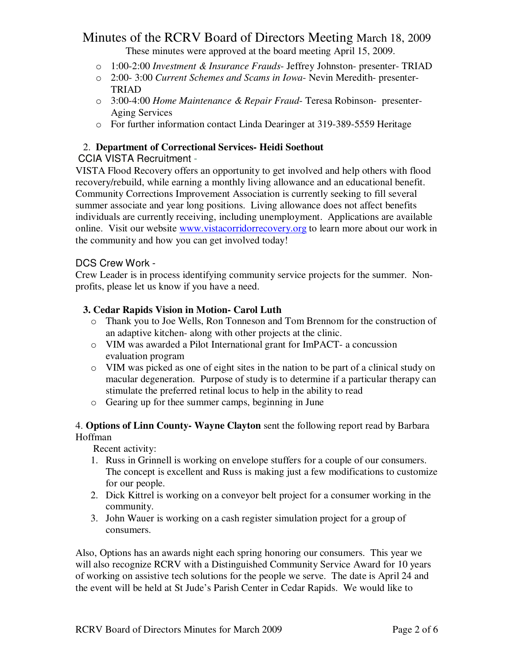These minutes were approved at the board meeting April 15, 2009.

- o 1:00-2:00 *Investment & Insurance Frauds* Jeffrey Johnston- presenter- TRIAD
- o 2:00- 3:00 *Current Schemes and Scams in Iowa* Nevin Meredith- presenter-TRIAD
- o 3:00-4:00 *Home Maintenance & Repair Fraud* Teresa Robinson- presenter-Aging Services
- o For further information contact Linda Dearinger at 319-389-5559 Heritage

# 2. **Department of Correctional Services- Heidi Soethout**

# CCIA VISTA Recruitment -

VISTA Flood Recovery offers an opportunity to get involved and help others with flood recovery/rebuild, while earning a monthly living allowance and an educational benefit. Community Corrections Improvement Association is currently seeking to fill several summer associate and year long positions. Living allowance does not affect benefits individuals are currently receiving, including unemployment. Applications are available online. Visit our website www.vistacorridorrecovery.org to learn more about our work in the community and how you can get involved today!

# DCS Crew Work -

Crew Leader is in process identifying community service projects for the summer. Nonprofits, please let us know if you have a need.

# **3. Cedar Rapids Vision in Motion- Carol Luth**

- o Thank you to Joe Wells, Ron Tonneson and Tom Brennom for the construction of an adaptive kitchen- along with other projects at the clinic.
- o VIM was awarded a Pilot International grant for ImPACT- a concussion evaluation program
- o VIM was picked as one of eight sites in the nation to be part of a clinical study on macular degeneration. Purpose of study is to determine if a particular therapy can stimulate the preferred retinal locus to help in the ability to read
- o Gearing up for thee summer camps, beginning in June

4. **Options of Linn County- Wayne Clayton** sent the following report read by Barbara Hoffman

Recent activity:

- 1. Russ in Grinnell is working on envelope stuffers for a couple of our consumers. The concept is excellent and Russ is making just a few modifications to customize for our people.
- 2. Dick Kittrel is working on a conveyor belt project for a consumer working in the community.
- 3. John Wauer is working on a cash register simulation project for a group of consumers.

Also, Options has an awards night each spring honoring our consumers. This year we will also recognize RCRV with a Distinguished Community Service Award for 10 years of working on assistive tech solutions for the people we serve. The date is April 24 and the event will be held at St Jude's Parish Center in Cedar Rapids. We would like to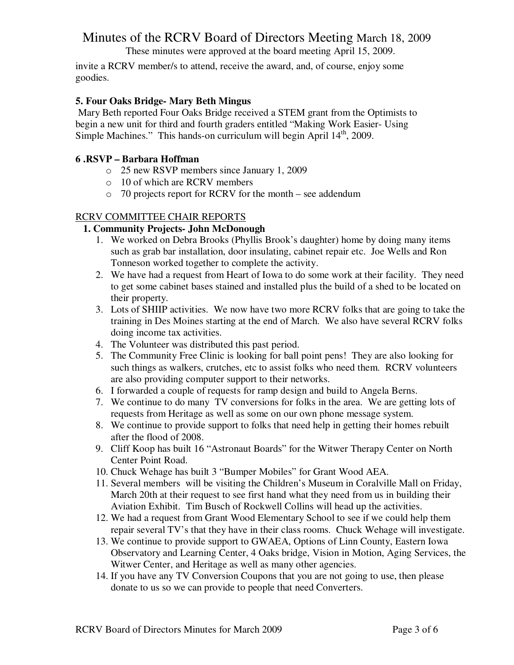These minutes were approved at the board meeting April 15, 2009.

invite a RCRV member/s to attend, receive the award, and, of course, enjoy some goodies.

# **5. Four Oaks Bridge- Mary Beth Mingus**

 Mary Beth reported Four Oaks Bridge received a STEM grant from the Optimists to begin a new unit for third and fourth graders entitled "Making Work Easier- Using Simple Machines." This hands-on curriculum will begin April  $14<sup>th</sup>$ , 2009.

## **6 .RSVP – Barbara Hoffman**

- o 25 new RSVP members since January 1, 2009
- o 10 of which are RCRV members
- o 70 projects report for RCRV for the month see addendum

## RCRV COMMITTEE CHAIR REPORTS

## **1. Community Projects- John McDonough**

- 1. We worked on Debra Brooks (Phyllis Brook's daughter) home by doing many items such as grab bar installation, door insulating, cabinet repair etc. Joe Wells and Ron Tonneson worked together to complete the activity.
- 2. We have had a request from Heart of Iowa to do some work at their facility. They need to get some cabinet bases stained and installed plus the build of a shed to be located on their property.
- 3. Lots of SHIIP activities. We now have two more RCRV folks that are going to take the training in Des Moines starting at the end of March. We also have several RCRV folks doing income tax activities.
- 4. The Volunteer was distributed this past period.
- 5. The Community Free Clinic is looking for ball point pens! They are also looking for such things as walkers, crutches, etc to assist folks who need them. RCRV volunteers are also providing computer support to their networks.
- 6. I forwarded a couple of requests for ramp design and build to Angela Berns.
- 7. We continue to do many TV conversions for folks in the area. We are getting lots of requests from Heritage as well as some on our own phone message system.
- 8. We continue to provide support to folks that need help in getting their homes rebuilt after the flood of 2008.
- 9. Cliff Koop has built 16 "Astronaut Boards" for the Witwer Therapy Center on North Center Point Road.
- 10. Chuck Wehage has built 3 "Bumper Mobiles" for Grant Wood AEA.
- 11. Several members will be visiting the Children's Museum in Coralville Mall on Friday, March 20th at their request to see first hand what they need from us in building their Aviation Exhibit. Tim Busch of Rockwell Collins will head up the activities.
- 12. We had a request from Grant Wood Elementary School to see if we could help them repair several TV's that they have in their class rooms. Chuck Wehage will investigate.
- 13. We continue to provide support to GWAEA, Options of Linn County, Eastern Iowa Observatory and Learning Center, 4 Oaks bridge, Vision in Motion, Aging Services, the Witwer Center, and Heritage as well as many other agencies.
- 14. If you have any TV Conversion Coupons that you are not going to use, then please donate to us so we can provide to people that need Converters.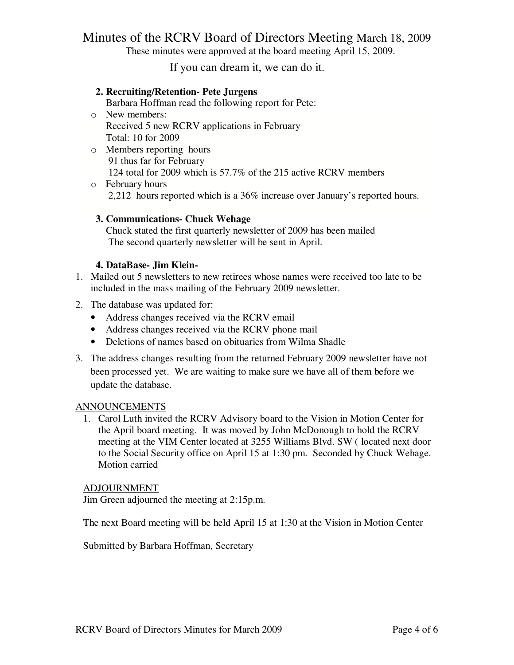These minutes were approved at the board meeting April 15, 2009.

If you can dream it, we can do it.

## **2. Recruiting/Retention- Pete Jurgens**

Barbara Hoffman read the following report for Pete:

- o New members: Received 5 new RCRV applications in February Total: 10 for 2009
- o Members reporting hours 91 thus far for February 124 total for 2009 which is 57.7% of the 215 active RCRV members
- o February hours 2,212 hours reported which is a 36% increase over January's reported hours.

### **3. Communications- Chuck Wehage**

 Chuck stated the first quarterly newsletter of 2009 has been mailed The second quarterly newsletter will be sent in April.

### **4. DataBase- Jim Klein-**

- 1. Mailed out 5 newsletters to new retirees whose names were received too late to be included in the mass mailing of the February 2009 newsletter.
- 2. The database was updated for:
	- Address changes received via the RCRV email
	- Address changes received via the RCRV phone mail
	- Deletions of names based on obituaries from Wilma Shadle
- 3. The address changes resulting from the returned February 2009 newsletter have not been processed yet. We are waiting to make sure we have all of them before we update the database.

### ANNOUNCEMENTS

1. Carol Luth invited the RCRV Advisory board to the Vision in Motion Center for the April board meeting. It was moved by John McDonough to hold the RCRV meeting at the VIM Center located at 3255 Williams Blvd. SW ( located next door to the Social Security office on April 15 at 1:30 pm. Seconded by Chuck Wehage. Motion carried

### ADJOURNMENT

Jim Green adjourned the meeting at 2:15p.m.

The next Board meeting will be held April 15 at 1:30 at the Vision in Motion Center

Submitted by Barbara Hoffman, Secretary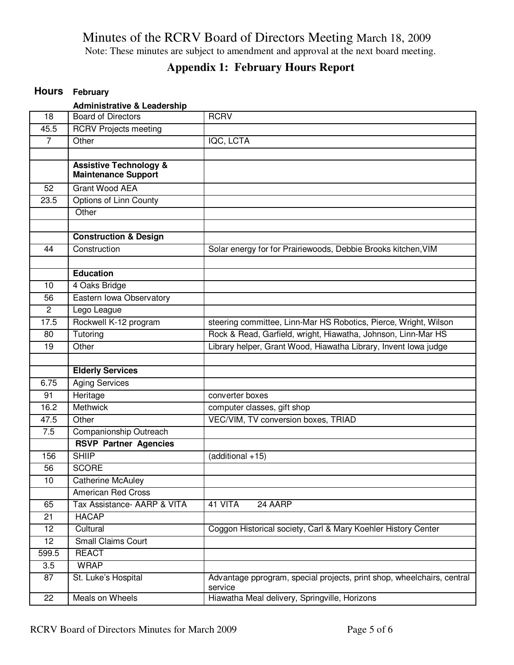Note: These minutes are subject to amendment and approval at the next board meeting.

# **Appendix 1: February Hours Report**

# **Hours February**

|                 | <b>Administrative &amp; Leadership</b>                          |                                                                                   |
|-----------------|-----------------------------------------------------------------|-----------------------------------------------------------------------------------|
| 18              | <b>Board of Directors</b>                                       | <b>RCRV</b>                                                                       |
| 45.5            | <b>RCRV Projects meeting</b>                                    |                                                                                   |
| $\overline{7}$  | Other                                                           | IQC, LCTA                                                                         |
|                 |                                                                 |                                                                                   |
|                 | <b>Assistive Technology &amp;</b><br><b>Maintenance Support</b> |                                                                                   |
| 52              | <b>Grant Wood AEA</b>                                           |                                                                                   |
| 23.5            | <b>Options of Linn County</b>                                   |                                                                                   |
|                 | Other                                                           |                                                                                   |
|                 |                                                                 |                                                                                   |
|                 | <b>Construction &amp; Design</b>                                |                                                                                   |
| 44              | Construction                                                    | Solar energy for for Prairiewoods, Debbie Brooks kitchen, VIM                     |
|                 |                                                                 |                                                                                   |
|                 | <b>Education</b>                                                |                                                                                   |
| 10              | 4 Oaks Bridge                                                   |                                                                                   |
| 56              | Eastern Iowa Observatory                                        |                                                                                   |
| $\overline{c}$  | Lego League                                                     |                                                                                   |
| 17.5            | Rockwell K-12 program                                           | steering committee, Linn-Mar HS Robotics, Pierce, Wright, Wilson                  |
| 80              | Tutoring                                                        | Rock & Read, Garfield, wright, Hiawatha, Johnson, Linn-Mar HS                     |
| 19              | Other                                                           | Library helper, Grant Wood, Hiawatha Library, Invent Iowa judge                   |
|                 |                                                                 |                                                                                   |
|                 | <b>Elderly Services</b>                                         |                                                                                   |
|                 |                                                                 |                                                                                   |
| 6.75            | <b>Aging Services</b>                                           |                                                                                   |
| 91              | Heritage                                                        | converter boxes                                                                   |
| 16.2            | <b>Methwick</b>                                                 | computer classes, gift shop                                                       |
| 47.5            | Other                                                           | VEC/VIM, TV conversion boxes, TRIAD                                               |
| 7.5             | Companionship Outreach                                          |                                                                                   |
|                 | <b>RSVP Partner Agencies</b>                                    |                                                                                   |
| 156             | <b>SHIIP</b>                                                    | (additional +15)                                                                  |
| 56              | <b>SCORE</b>                                                    |                                                                                   |
| $\overline{10}$ | <b>Catherine McAuley</b>                                        |                                                                                   |
|                 | <b>American Red Cross</b>                                       |                                                                                   |
| 65              | Tax Assistance- AARP & VITA                                     | 41 VITA<br>24 AARP                                                                |
| 21              | <b>HACAP</b>                                                    |                                                                                   |
| 12              | Cultural                                                        | Coggon Historical society, Carl & Mary Koehler History Center                     |
| 12              | Small Claims Court                                              |                                                                                   |
| 599.5           | <b>REACT</b>                                                    |                                                                                   |
| 3.5             | <b>WRAP</b>                                                     |                                                                                   |
| 87              | St. Luke's Hospital                                             | Advantage pprogram, special projects, print shop, wheelchairs, central<br>service |